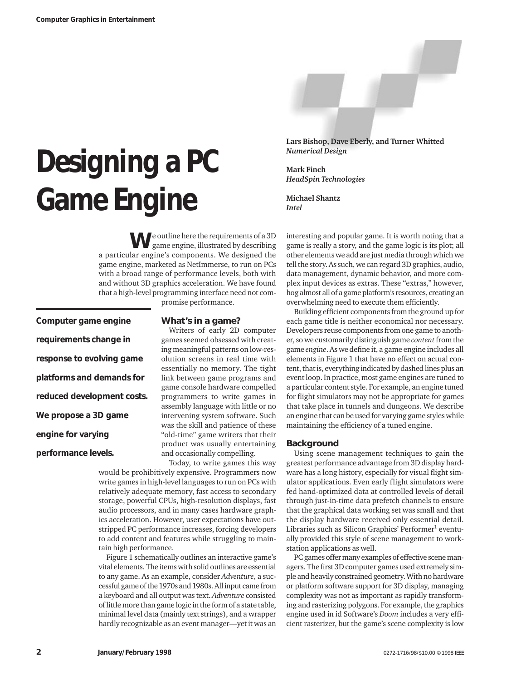# **Designing a PC Game Engine**

**Lars Bishop, Dave Eberly, and Turner Whitted** *Numerical Design*

**Mark Finch** *HeadSpin Technologies*

**Michael Shantz** *Intel*

**W**e outline here the requirements of a 3D game engine, illustrated by describing a particular engine's components. We designed the game engine, marketed as NetImmerse, to run on PCs with a broad range of performance levels, both with and without 3D graphics acceleration. We have found that a high-level programming interface need not com-

**Computer game engine requirements change in response to evolving game platforms and demands for reduced development costs. We propose a 3D game engine for varying performance levels.**

promise performance.

## **What's in a game?**

Writers of early 2D computer games seemed obsessed with creating meaningful patterns on low-resolution screens in real time with essentially no memory. The tight link between game programs and game console hardware compelled programmers to write games in assembly language with little or no intervening system software. Such was the skill and patience of these "old-time" game writers that their product was usually entertaining and occasionally compelling.

Today, to write games this way

would be prohibitively expensive. Programmers now write games in high-level languages to run on PCs with relatively adequate memory, fast access to secondary storage, powerful CPUs, high-resolution displays, fast audio processors, and in many cases hardware graphics acceleration. However, user expectations have outstripped PC performance increases, forcing developers to add content and features while struggling to maintain high performance.

Figure 1 schematically outlines an interactive game's vital elements. The items with solid outlines are essential to any game. As an example, consider *Adventure*, a successful game of the 1970s and 1980s. All input came from a keyboard and all output was text. *Adventure* consisted of little more than game logic in the form of a state table, minimal level data (mainly text strings), and a wrapper hardly recognizable as an event manager—yet it was an interesting and popular game. It is worth noting that a game is really a story, and the game logic is its plot; all other elements we add are just media through which we tell the story. As such, we can regard 3D graphics, audio, data management, dynamic behavior, and more complex input devices as extras. These "extras," however, hog almost all of a game platform's resources, creating an overwhelming need to execute them efficiently.

Building efficient components from the ground up for each game title is neither economical nor necessary. Developers reuse components from one game to another, so we customarily distinguish game *content*from the game *engine*. As we define it, a game engine includes all elements in Figure 1 that have no effect on actual content, that is, everything indicated by dashed lines plus an event loop. In practice, most game engines are tuned to a particular content style. For example, an engine tuned for flight simulators may not be appropriate for games that take place in tunnels and dungeons. We describe an engine that can be used for varying game styles while maintaining the efficiency of a tuned engine.

#### **Background**

Using scene management techniques to gain the greatest performance advantage from 3D display hardware has a long history, especially for visual flight simulator applications. Even early flight simulators were fed hand-optimized data at controlled levels of detail through just-in-time data prefetch channels to ensure that the graphical data working set was small and that the display hardware received only essential detail. Libraries such as Silicon Graphics' Performer<sup>1</sup> eventually provided this style of scene management to workstation applications as well.

PC games offer many examples of effective scene managers. The first 3D computer games used extremely simple and heavily constrained geometry. With no hardware or platform software support for 3D display, managing complexity was not as important as rapidly transforming and rasterizing polygons. For example, the graphics engine used in id Software's *Doom* includes a very efficient rasterizer, but the game's scene complexity is low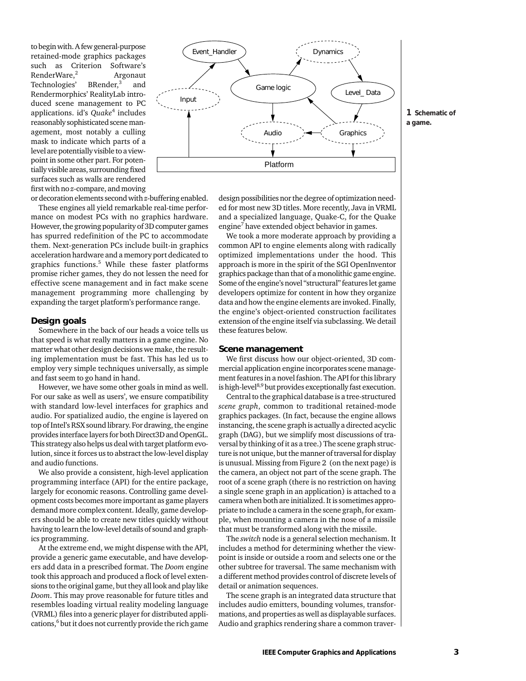to begin with. A few general-purpose retained-mode graphics packages such as Criterion Software's RenderWare, $^{2}$  Argonaut<br>Technologies' BRender, $^{3}$  and Technologies' and Rendermorphics' RealityLab introduced scene management to PC applications. id's *Quake*<sup>4</sup> includes reasonably sophisticated scene management, most notably a culling mask to indicate which parts of a level are potentially visible to a viewpoint in some other part. For potentially visible areas, surrounding fixed surfaces such as walls are rendered first with no *z*-compare, and moving

or decoration elements second with *z*-buffering enabled.

These engines all yield remarkable real-time performance on modest PCs with no graphics hardware. However, the growing popularity of 3D computer games has spurred redefinition of the PC to accommodate them. Next-generation PCs include built-in graphics acceleration hardware and a memory port dedicated to graphics functions.<sup>5</sup> While these faster platforms promise richer games, they do not lessen the need for effective scene management and in fact make scene management programming more challenging by expanding the target platform's performance range.

# **Design goals**

Somewhere in the back of our heads a voice tells us that speed is what really matters in a game engine. No matter what other design decisions we make, the resulting implementation must be fast. This has led us to employ very simple techniques universally, as simple and fast seem to go hand in hand.

However, we have some other goals in mind as well. For our sake as well as users', we ensure compatibility with standard low-level interfaces for graphics and audio. For spatialized audio, the engine is layered on top of Intel's RSX sound library. For drawing, the engine provides interface layers for both Direct3D and OpenGL. This strategy also helps us deal with target platform evolution, since it forces us to abstract the low-level display and audio functions.

We also provide a consistent, high-level application programming interface (API) for the entire package, largely for economic reasons. Controlling game development costs becomes more important as game players demand more complex content. Ideally, game developers should be able to create new titles quickly without having to learn the low-level details of sound and graphics programming.

At the extreme end, we might dispense with the API, provide a generic game executable, and have developers add data in a prescribed format. The *Doom* engine took this approach and produced a flock of level extensions to the original game, but they all look and play like *Doom*. This may prove reasonable for future titles and resembles loading virtual reality modeling language (VRML) files into a generic player for distributed applications, $6$  but it does not currently provide the rich game



design possibilities nor the degree of optimization needed for most new 3D titles. More recently, Java in VRML and a specialized language, Quake-C, for the Quake engine<sup>7</sup> have extended object behavior in games.

We took a more moderate approach by providing a common API to engine elements along with radically optimized implementations under the hood. This approach is more in the spirit of the SGI OpenInventor graphics package than that of a monolithic game engine. Some of the engine's novel "structural" features let game developers optimize for content in how they organize data and how the engine elements are invoked. Finally, the engine's object-oriented construction facilitates extension of the engine itself via subclassing. We detail these features below.

#### **Scene management**

We first discuss how our object-oriented, 3D commercial application engine incorporates scene management features in a novel fashion. The API for this library is high-level<sup>8,9</sup> but provides exceptionally fast execution.

Central to the graphical database is a tree-structured *scene graph*, common to traditional retained-mode graphics packages. (In fact, because the engine allows instancing, the scene graph is actually a directed acyclic graph (DAG), but we simplify most discussions of traversal by thinking of it as a tree.) The scene graph structure is not unique, but the manner of traversal for display is unusual. Missing from Figure 2 (on the next page) is the camera, an object not part of the scene graph. The root of a scene graph (there is no restriction on having a single scene graph in an application) is attached to a camera when both are initialized. It is sometimes appropriate to include a camera in the scene graph, for example, when mounting a camera in the nose of a missile that must be transformed along with the missile.

The *switch* node is a general selection mechanism. It includes a method for determining whether the viewpoint is inside or outside a room and selects one or the other subtree for traversal. The same mechanism with a different method provides control of discrete levels of detail or animation sequences.

The scene graph is an integrated data structure that includes audio emitters, bounding volumes, transformations, and properties as well as displayable surfaces. Audio and graphics rendering share a common traver-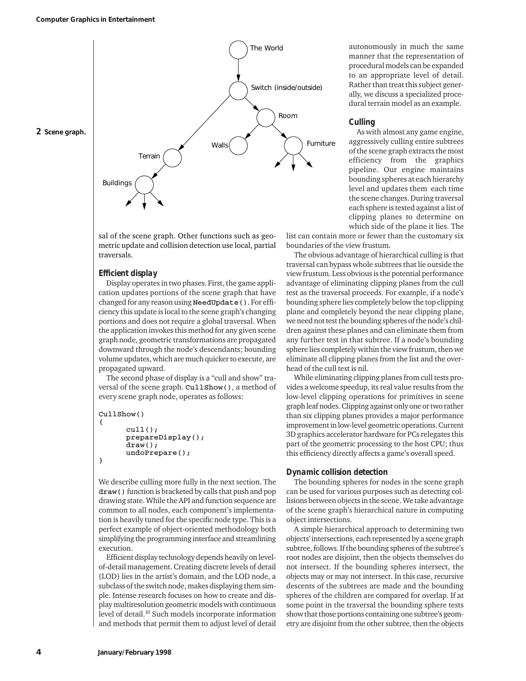

sal of the scene graph. Other functions such as geometric update and collision detection use local, partial traversals.

## *Efficient display*

Display operates in two phases. First, the game application updates portions of the scene graph that have changed for any reason using NeedUpdate(). For efficiency this update is local to the scene graph's changing portions and does not require a global traversal. When the application invokes this method for any given scene graph node, geometric transformations are propagated downward through the node's descendants; bounding volume updates, which are much quicker to execute, are propagated upward.

The second phase of display is a "cull and show" traversal of the scene graph. CullShow(), a method of every scene graph node, operates as follows:

```
CullShow()
{
       \text{cull}();
       prepareDisplay();
       draw();
       undoPrepare();
}
```
We describe culling more fully in the next section. The draw () function is bracketed by calls that push and pop drawing state. While the API and function sequence are common to all nodes, each component's implementation is heavily tuned for the specific node type. This is a perfect example of object-oriented methodology both simplifying the programming interface and streamlining execution.

Efficient display technology depends heavily on levelof-detail management. Creating discrete levels of detail (LOD) lies in the artist's domain, and the LOD node, a subclass of the switch node, makes displaying them simple. Intense research focuses on how to create and display multiresolution geometric models with continuous level of detail.<sup>10</sup> Such models incorporate information and methods that permit them to adjust level of detail autonomously in much the same manner that the representation of procedural models can be expanded to an appropriate level of detail. Rather than treat this subject generally, we discuss a specialized procedural terrain model as an example.

# *Culling*

As with almost any game engine, aggressively culling entire subtrees of the scene graph extracts the most efficiency from the graphics pipeline. Our engine maintains bounding spheres at each hierarchy level and updates them each time the scene changes. During traversal each sphere is tested against a list of clipping planes to determine on which side of the plane it lies. The

list can contain more or fewer than the customary six boundaries of the view frustum.

The obvious advantage of hierarchical culling is that traversal can bypass whole subtrees that lie outside the view frustum. Less obvious is the potential performance advantage of eliminating clipping planes from the cull test as the traversal proceeds. For example, if a node's bounding sphere lies completely below the top clipping plane and completely beyond the near clipping plane, we need not test the bounding spheres of the node's children against these planes and can eliminate them from any further test in that subtree. If a node's bounding sphere lies completely within the view frustum, then we eliminate all clipping planes from the list and the overhead of the cull test is nil.

While eliminating clipping planes from cull tests provides a welcome speedup, its real value results from the low-level clipping operations for primitives in scene graph leaf nodes. Clipping against only one or two rather than six clipping planes provides a major performance improvement in low-level geometric operations. Current 3D graphics accelerator hardware for PCs relegates this part of the geometric processing to the host CPU; thus this efficiency directly affects a game's overall speed.

## *Dynamic collision detection*

The bounding spheres for nodes in the scene graph can be used for various purposes such as detecting collisions between objects in the scene. We take advantage of the scene graph's hierarchical nature in computing object intersections.

A simple hierarchical approach to determining two objects' intersections, each represented by a scene graph subtree, follows. If the bounding spheres of the subtree's root nodes are disjoint, then the objects themselves do not intersect. If the bounding spheres intersect, the objects may or may not intersect. In this case, recursive descents of the subtrees are made and the bounding spheres of the children are compared for overlap. If at some point in the traversal the bounding sphere tests show that those portions containing one subtree's geometry are disjoint from the other subtree, then the objects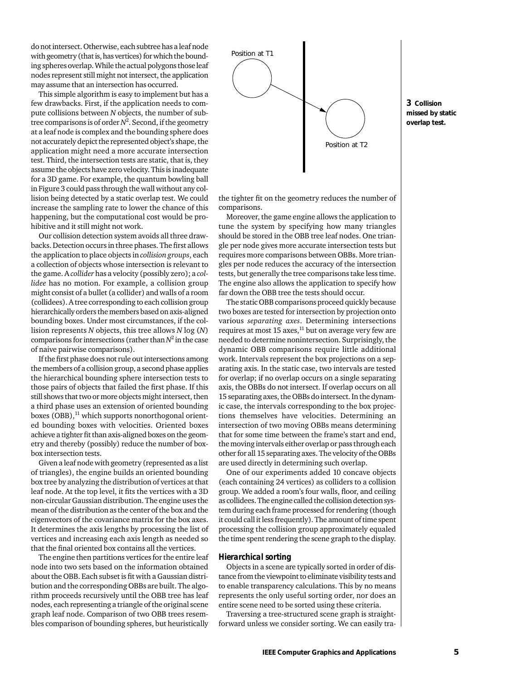do not intersect. Otherwise, each subtree has a leaf node with geometry (that is, has vertices) for which the bounding spheres overlap. While the actual polygons those leaf nodes represent still might not intersect, the application may assume that an intersection has occurred.

This simple algorithm is easy to implement but has a few drawbacks. First, if the application needs to compute collisions between *N* objects, the number of subtree comparisons is of order  $N^2$ . Second, if the geometry at a leaf node is complex and the bounding sphere does not accurately depict the represented object's shape, the application might need a more accurate intersection test. Third, the intersection tests are static, that is, they assume the objects have zero velocity. This is inadequate for a 3D game. For example, the quantum bowling ball in Figure 3 could pass through the wall without any collision being detected by a static overlap test. We could increase the sampling rate to lower the chance of this happening, but the computational cost would be prohibitive and it still might not work.

Our collision detection system avoids all three drawbacks. Detection occurs in three phases. The first allows the application to place objects in *collision groups*, each a collection of objects whose intersection is relevant to the game. A *collider* has a velocity (possibly zero); a *collidee* has no motion. For example, a collision group might consist of a bullet (a collider) and walls of a room (collidees). A tree corresponding to each collision group hierarchically orders the members based on axis-aligned bounding boxes. Under most circumstances, if the collision represents *N* objects, this tree allows *N* log (*N*) comparisons for intersections (rather than  $N^2$  in the case of naive pairwise comparisons).

If the first phase does not rule out intersections among the members of a collision group, a second phase applies the hierarchical bounding sphere intersection tests to those pairs of objects that failed the first phase. If this still shows that two or more objects might intersect, then a third phase uses an extension of oriented bounding boxes  $(OBB)$ ,<sup>11</sup> which supports nonorthogonal oriented bounding boxes with velocities. Oriented boxes achieve a tighter fit than axis-aligned boxes on the geometry and thereby (possibly) reduce the number of boxbox intersection tests.

Given a leaf node with geometry (represented as a list of triangles), the engine builds an oriented bounding box tree by analyzing the distribution of vertices at that leaf node. At the top level, it fits the vertices with a 3D non-circular Gaussian distribution. The engine uses the mean of the distribution as the center of the box and the eigenvectors of the covariance matrix for the box axes. It determines the axis lengths by processing the list of vertices and increasing each axis length as needed so that the final oriented box contains all the vertices.

The engine then partitions vertices for the entire leaf node into two sets based on the information obtained about the OBB. Each subset is fit with a Gaussian distribution and the corresponding OBBs are built. The algorithm proceeds recursively until the OBB tree has leaf nodes, each representing a triangle of the original scene graph leaf node. Comparison of two OBB trees resembles comparison of bounding spheres, but heuristically



the tighter fit on the geometry reduces the number of comparisons.

Moreover, the game engine allows the application to tune the system by specifying how many triangles should be stored in the OBB tree leaf nodes. One triangle per node gives more accurate intersection tests but requires more comparisons between OBBs. More triangles per node reduces the accuracy of the intersection tests, but generally the tree comparisons take less time. The engine also allows the application to specify how far down the OBB tree the tests should occur.

The static OBB comparisons proceed quickly because two boxes are tested for intersection by projection onto various *separating axes*. Determining intersections requires at most  $15$  axes,<sup>11</sup> but on average very few are needed to determine nonintersection. Surprisingly, the dynamic OBB comparisons require little additional work. Intervals represent the box projections on a separating axis. In the static case, two intervals are tested for overlap; if no overlap occurs on a single separating axis, the OBBs do not intersect. If overlap occurs on all 15 separating axes, the OBBs do intersect. In the dynamic case, the intervals corresponding to the box projections themselves have velocities. Determining an intersection of two moving OBBs means determining that for some time between the frame's start and end, the moving intervals either overlap or pass through each other for all 15 separating axes. The velocity of the OBBs are used directly in determining such overlap.

One of our experiments added 10 concave objects (each containing 24 vertices) as colliders to a collision group. We added a room's four walls, floor, and ceiling as collidees. The engine called the collision detection system during each frame processed for rendering (though it could call it less frequently). The amount of time spent processing the collision group approximately equaled the time spent rendering the scene graph to the display.

#### *Hierarchical sorting*

Objects in a scene are typically sorted in order of distance from the viewpoint to eliminate visibility tests and to enable transparency calculations. This by no means represents the only useful sorting order, nor does an entire scene need to be sorted using these criteria.

Traversing a tree-structured scene graph is straightforward unless we consider sorting. We can easily tra-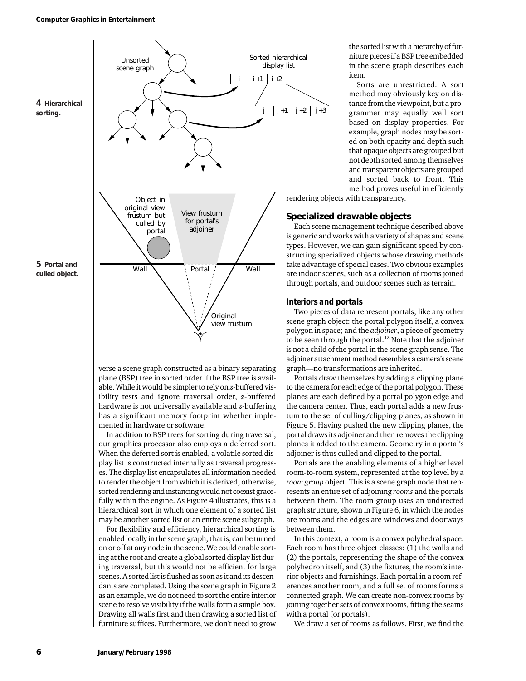

verse a scene graph constructed as a binary separating plane (BSP) tree in sorted order if the BSP tree is available. While it would be simpler to rely on *z*-buffered visibility tests and ignore traversal order, *z*-buffered hardware is not universally available and *z*-buffering has a significant memory footprint whether implemented in hardware or software.

In addition to BSP trees for sorting during traversal, our graphics processor also employs a deferred sort. When the deferred sort is enabled, a volatile sorted display list is constructed internally as traversal progresses. The display list encapsulates all information needed to render the object from which it is derived; otherwise, sorted rendering and instancing would not coexist gracefully within the engine. As Figure 4 illustrates, this is a hierarchical sort in which one element of a sorted list may be another sorted list or an entire scene subgraph.

For flexibility and efficiency, hierarchical sorting is enabled locally in the scene graph, that is, can be turned on or off at any node in the scene. We could enable sorting at the root and create a global sorted display list during traversal, but this would not be efficient for large scenes. A sorted list is flushed as soon as it and its descendants are completed. Using the scene graph in Figure 2 as an example, we do not need to sort the entire interior scene to resolve visibility if the walls form a simple box. Drawing all walls first and then drawing a sorted list of furniture suffices. Furthermore, we don't need to grow

the sorted list with a hierarchy of furniture pieces if a BSP tree embedded in the scene graph describes each item.

Sorts are unrestricted. A sort method may obviously key on distance from the viewpoint, but a programmer may equally well sort based on display properties. For example, graph nodes may be sorted on both opacity and depth such that opaque objects are grouped but not depth sorted among themselves and transparent objects are grouped and sorted back to front. This method proves useful in efficiently

rendering objects with transparency.

*j* +3

## **Specialized drawable objects**

Each scene management technique described above is generic and works with a variety of shapes and scene types. However, we can gain significant speed by constructing specialized objects whose drawing methods take advantage of special cases. Two obvious examples are indoor scenes, such as a collection of rooms joined through portals, and outdoor scenes such as terrain.

## *Interiors and portals*

Two pieces of data represent portals, like any other scene graph object: the portal polygon itself, a convex polygon in space; and the *adjoiner*, a piece of geometry to be seen through the portal.<sup>12</sup> Note that the adjoiner is not a child of the portal in the scene graph sense. The adjoiner attachment method resembles a camera's scene graph—no transformations are inherited.

Portals draw themselves by adding a clipping plane to the camera for each edge of the portal polygon. These planes are each defined by a portal polygon edge and the camera center. Thus, each portal adds a new frustum to the set of culling/clipping planes, as shown in Figure 5. Having pushed the new clipping planes, the portal draws its adjoiner and then removes the clipping planes it added to the camera. Geometry in a portal's adjoiner is thus culled and clipped to the portal.

Portals are the enabling elements of a higher level room-to-room system, represented at the top level by a *room group* object. This is a scene graph node that represents an entire set of adjoining *rooms* and the portals between them. The room group uses an undirected graph structure, shown in Figure 6, in which the nodes are rooms and the edges are windows and doorways between them.

In this context, a room is a convex polyhedral space. Each room has three object classes: (1) the walls and (2) the portals, representing the shape of the convex polyhedron itself, and (3) the fixtures, the room's interior objects and furnishings. Each portal in a room references another room, and a full set of rooms forms a connected graph. We can create non-convex rooms by joining together sets of convex rooms, fitting the seams with a portal (or portals).

We draw a set of rooms as follows. First, we find the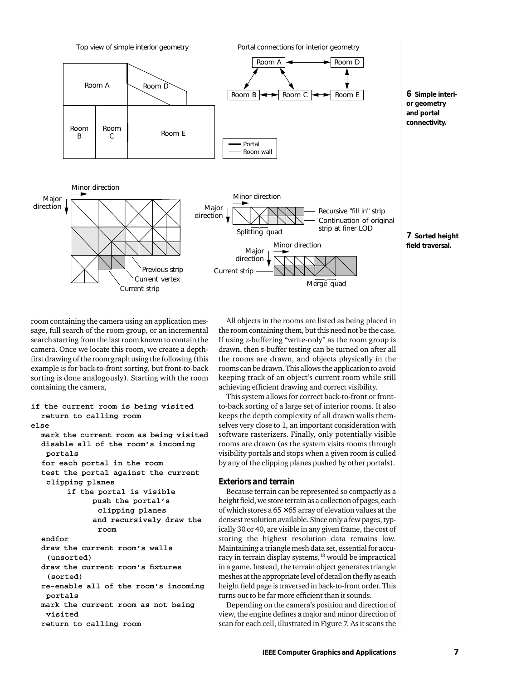

**or geometry and portal connectivity.**

**7 Sorted height field traversal.**

room containing the camera using an application message, full search of the room group, or an incremental search starting from the last room known to contain the camera. Once we locate this room, we create a depthfirst drawing of the room graph using the following (this example is for back-to-front sorting, but front-to-back sorting is done analogously). Starting with the room containing the camera,

```
if the current room is being visited
  return to calling room
else
  mark the current room as being visited
  disable all of the room's incoming
   portals
  for each portal in the room
  test the portal against the current
   clipping planes
        if the portal is visible
              push the portal's 
               clipping planes
              and recursively draw the
               room
  endfor
  draw the current room's walls 
   (unsorted)
  draw the current room's fixtures 
   (sorted)
  re-enable all of the room's incoming
   portals
  mark the current room as not being
   visited
  return to calling room
```
All objects in the rooms are listed as being placed in the room containing them, but this need not be the case. If using *z*-buffering "write-only" as the room group is drawn, then *z*-buffer testing can be turned on after all the rooms are drawn, and objects physically in the rooms can be drawn. This allows the application to avoid keeping track of an object's current room while still achieving efficient drawing and correct visibility.

This system allows for correct back-to-front or frontto-back sorting of a large set of interior rooms. It also keeps the depth complexity of all drawn walls themselves very close to 1, an important consideration with software rasterizers. Finally, only potentially visible rooms are drawn (as the system visits rooms through visibility portals and stops when a given room is culled by any of the clipping planes pushed by other portals).

### *Exteriors and terrain*

Because terrain can be represented so compactly as a height field, we store terrain as a collection of pages, each of which stores a  $65 \times 65$  array of elevation values at the densest resolution available. Since only a few pages, typically 30 or 40, are visible in any given frame, the cost of storing the highest resolution data remains low. Maintaining a triangle mesh data set, essential for accuracy in terrain display systems,<sup>13</sup> would be impractical in a game. Instead, the terrain object generates triangle meshes at the appropriate level of detail on the fly as each height field page is traversed in back-to-front order. This turns out to be far more efficient than it sounds.

Depending on the camera's position and direction of view, the engine defines a major and minor direction of scan for each cell, illustrated in Figure 7. As it scans the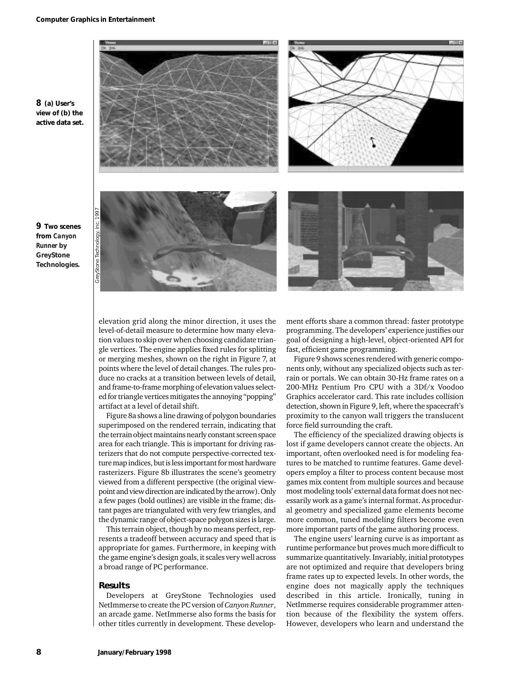

elevation grid along the minor direction, it uses the level-of-detail measure to determine how many elevation values to skip over when choosing candidate triangle vertices. The engine applies fixed rules for splitting or merging meshes, shown on the right in Figure 7, at points where the level of detail changes. The rules produce no cracks at a transition between levels of detail, and frame-to-frame morphing of elevation values selected for triangle vertices mitigates the annoying "popping" artifact at a level of detail shift.

Figure 8a shows a line drawing of polygon boundaries superimposed on the rendered terrain, indicating that the terrain object maintains nearly constant screen space area for each triangle. This is important for driving rasterizers that do not compute perspective-corrected texture map indices, but is less important for most hardware rasterizers. Figure 8b illustrates the scene's geometry viewed from a different perspective (the original viewpoint and view direction are indicated by the arrow). Only a few pages (bold outlines) are visible in the frame; distant pages are triangulated with very few triangles, and the dynamic range of object-space polygon sizes is large.

This terrain object, though by no means perfect, represents a tradeoff between accuracy and speed that is appropriate for games. Furthermore, in keeping with the game engine's design goals, it scales very well across a broad range of PC performance.

#### **Results**

Developers at GreyStone Technologies used NetImmerse to create the PC version of *Canyon Runner*, an arcade game. NetImmerse also forms the basis for other titles currently in development. These development efforts share a common thread: faster prototype programming. The developers' experience justifies our goal of designing a high-level, object-oriented API for fast, efficient game programming.

Figure 9 shows scenes rendered with generic components only, without any specialized objects such as terrain or portals. We can obtain 30-Hz frame rates on a 200-MHz Pentium Pro CPU with a 3Df/x Voodoo Graphics accelerator card. This rate includes collision detection, shown in Figure 9, left, where the spacecraft's proximity to the canyon wall triggers the translucent force field surrounding the craft.

The efficiency of the specialized drawing objects is lost if game developers cannot create the objects. An important, often overlooked need is for modeling features to be matched to runtime features. Game developers employ a filter to process content because most games mix content from multiple sources and because most modeling tools' external data format does not necessarily work as a game's internal format. As procedural geometry and specialized game elements become more common, tuned modeling filters become even more important parts of the game authoring process.

The engine users' learning curve is as important as runtime performance but proves much more difficult to summarize quantitatively. Invariably, initial prototypes are not optimized and require that developers bring frame rates up to expected levels. In other words, the engine does not magically apply the techniques described in this article. Ironically, tuning in NetImmerse requires considerable programmer attention because of the flexibility the system offers. However, developers who learn and understand the

**9 Two scenes from** *Canyon Runner* **by GreyStone Technologies.**

**8 (a) User's**